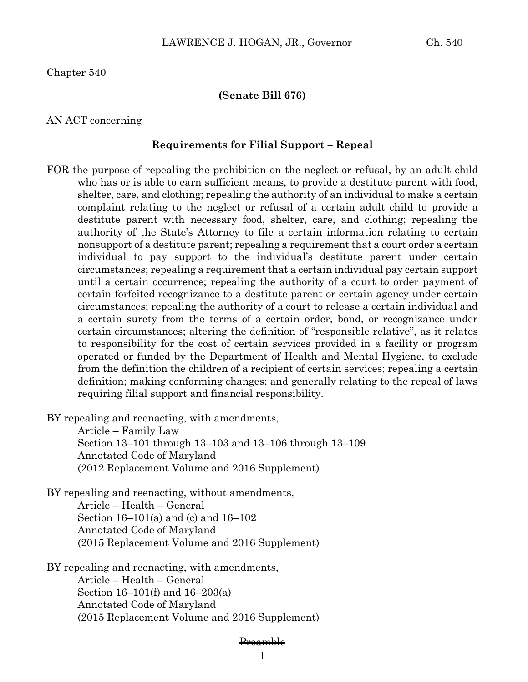Chapter 540

## **(Senate Bill 676)**

## AN ACT concerning

### **Requirements for Filial Support – Repeal**

FOR the purpose of repealing the prohibition on the neglect or refusal, by an adult child who has or is able to earn sufficient means, to provide a destitute parent with food, shelter, care, and clothing; repealing the authority of an individual to make a certain complaint relating to the neglect or refusal of a certain adult child to provide a destitute parent with necessary food, shelter, care, and clothing; repealing the authority of the State's Attorney to file a certain information relating to certain nonsupport of a destitute parent; repealing a requirement that a court order a certain individual to pay support to the individual's destitute parent under certain circumstances; repealing a requirement that a certain individual pay certain support until a certain occurrence; repealing the authority of a court to order payment of certain forfeited recognizance to a destitute parent or certain agency under certain circumstances; repealing the authority of a court to release a certain individual and a certain surety from the terms of a certain order, bond, or recognizance under certain circumstances; altering the definition of "responsible relative", as it relates to responsibility for the cost of certain services provided in a facility or program operated or funded by the Department of Health and Mental Hygiene, to exclude from the definition the children of a recipient of certain services; repealing a certain definition; making conforming changes; and generally relating to the repeal of laws requiring filial support and financial responsibility.

BY repealing and reenacting, with amendments,

Article – Family Law Section 13–101 through 13–103 and 13–106 through 13–109 Annotated Code of Maryland (2012 Replacement Volume and 2016 Supplement)

BY repealing and reenacting, without amendments, Article – Health – General Section 16–101(a) and (c) and 16–102 Annotated Code of Maryland (2015 Replacement Volume and 2016 Supplement)

BY repealing and reenacting, with amendments, Article – Health – General Section 16–101(f) and 16–203(a) Annotated Code of Maryland (2015 Replacement Volume and 2016 Supplement)

#### Preamble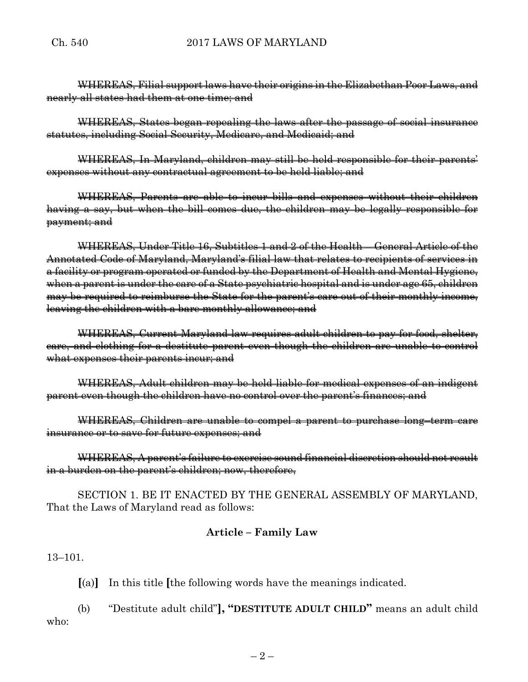WHEREAS, Filial support laws have their origins in the Elizabethan Poor Laws, and nearly all states had them at one time; and

WHEREAS, States began repealing the laws after the passage of social insurance statutes, including Social Security, Medicare, and Medicaid; and

WHEREAS, In Maryland, children may still be held responsible for their parents' expenses without any contractual agreement to be held liable; and

WHEREAS, Parents are able to incur bills and expenses without their children having a say, but when the bill comes due, the children may be legally responsible for payment; and

WHEREAS, Under Title 16, Subtitles 1 and 2 of the Health – General Article of the Annotated Code of Maryland, Maryland's filial law that relates to recipients of services in a facility or program operated or funded by the Department of Health and Mental Hygiene, when a parent is under the care of a State psychiatric hospital and is under age 65, children may be required to reimburse the State for the parent's care out of their monthly income, leaving the children with a bare monthly allowance; and

WHEREAS, Current Maryland law requires adult children to pay for food, shelter, care, and clothing for a destitute parent even though the children are unable to control what expenses their parents incur; and

WHEREAS, Adult children may be held liable for medical expenses of an indigent parent even though the children have no control over the parent's finances; and

WHEREAS, Children are unable to compel a parent to purchase long–term care insurance or to save for future expenses; and

WHEREAS, A parent's failure to exercise sound financial discretion should not result in a burden on the parent's children; now, therefore,

SECTION 1. BE IT ENACTED BY THE GENERAL ASSEMBLY OF MARYLAND, That the Laws of Maryland read as follows:

# **Article – Family Law**

13–101.

**[**(a)**]** In this title **[**the following words have the meanings indicated.

(b) "Destitute adult child"**], "DESTITUTE ADULT CHILD"** means an adult child who: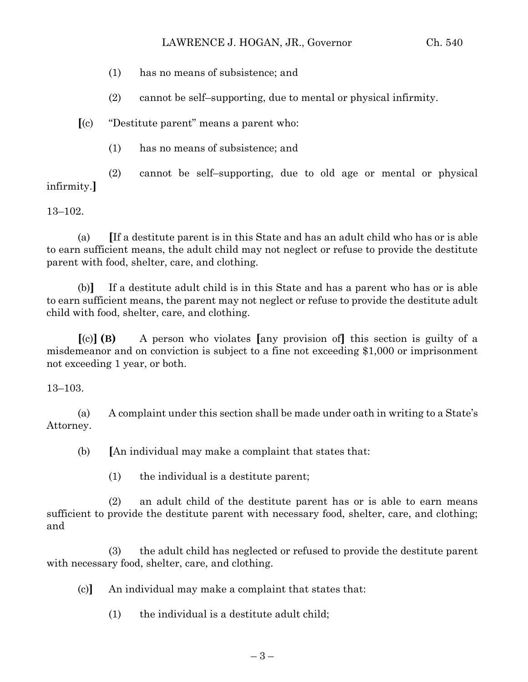- (1) has no means of subsistence; and
- (2) cannot be self–supporting, due to mental or physical infirmity.

**[**(c) "Destitute parent" means a parent who:

(1) has no means of subsistence; and

(2) cannot be self–supporting, due to old age or mental or physical infirmity.**]**

13–102.

(a) **[**If a destitute parent is in this State and has an adult child who has or is able to earn sufficient means, the adult child may not neglect or refuse to provide the destitute parent with food, shelter, care, and clothing.

(b)**]** If a destitute adult child is in this State and has a parent who has or is able to earn sufficient means, the parent may not neglect or refuse to provide the destitute adult child with food, shelter, care, and clothing.

**[**(c)**] (B)** A person who violates **[**any provision of**]** this section is guilty of a misdemeanor and on conviction is subject to a fine not exceeding \$1,000 or imprisonment not exceeding 1 year, or both.

13–103.

(a) A complaint under this section shall be made under oath in writing to a State's Attorney.

(b) **[**An individual may make a complaint that states that:

(1) the individual is a destitute parent;

(2) an adult child of the destitute parent has or is able to earn means sufficient to provide the destitute parent with necessary food, shelter, care, and clothing; and

(3) the adult child has neglected or refused to provide the destitute parent with necessary food, shelter, care, and clothing.

(c)**]** An individual may make a complaint that states that:

(1) the individual is a destitute adult child;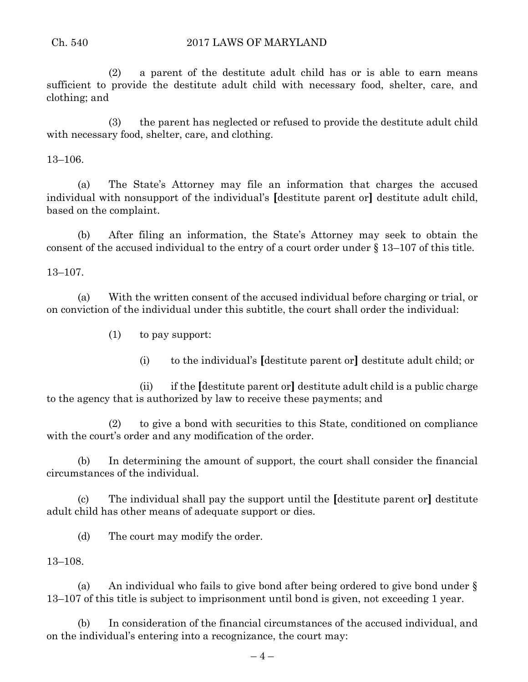(2) a parent of the destitute adult child has or is able to earn means sufficient to provide the destitute adult child with necessary food, shelter, care, and clothing; and

(3) the parent has neglected or refused to provide the destitute adult child with necessary food, shelter, care, and clothing.

13–106.

(a) The State's Attorney may file an information that charges the accused individual with nonsupport of the individual's **[**destitute parent or**]** destitute adult child, based on the complaint.

(b) After filing an information, the State's Attorney may seek to obtain the consent of the accused individual to the entry of a court order under § 13–107 of this title.

13–107.

(a) With the written consent of the accused individual before charging or trial, or on conviction of the individual under this subtitle, the court shall order the individual:

- (1) to pay support:
	- (i) to the individual's **[**destitute parent or**]** destitute adult child; or

(ii) if the **[**destitute parent or**]** destitute adult child is a public charge to the agency that is authorized by law to receive these payments; and

(2) to give a bond with securities to this State, conditioned on compliance with the court's order and any modification of the order.

(b) In determining the amount of support, the court shall consider the financial circumstances of the individual.

(c) The individual shall pay the support until the **[**destitute parent or**]** destitute adult child has other means of adequate support or dies.

(d) The court may modify the order.

13–108.

(a) An individual who fails to give bond after being ordered to give bond under § 13–107 of this title is subject to imprisonment until bond is given, not exceeding 1 year.

(b) In consideration of the financial circumstances of the accused individual, and on the individual's entering into a recognizance, the court may: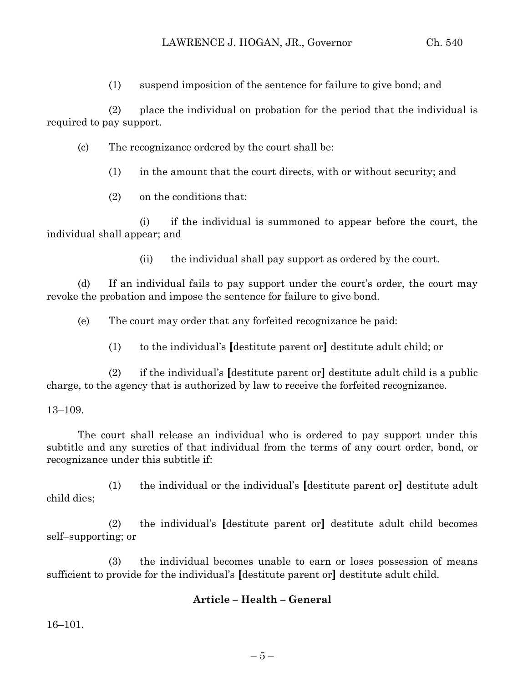(1) suspend imposition of the sentence for failure to give bond; and

(2) place the individual on probation for the period that the individual is required to pay support.

- (c) The recognizance ordered by the court shall be:
	- (1) in the amount that the court directs, with or without security; and
	- (2) on the conditions that:

(i) if the individual is summoned to appear before the court, the individual shall appear; and

(ii) the individual shall pay support as ordered by the court.

(d) If an individual fails to pay support under the court's order, the court may revoke the probation and impose the sentence for failure to give bond.

(e) The court may order that any forfeited recognizance be paid:

(1) to the individual's **[**destitute parent or**]** destitute adult child; or

(2) if the individual's **[**destitute parent or**]** destitute adult child is a public charge, to the agency that is authorized by law to receive the forfeited recognizance.

## 13–109.

The court shall release an individual who is ordered to pay support under this subtitle and any sureties of that individual from the terms of any court order, bond, or recognizance under this subtitle if:

(1) the individual or the individual's **[**destitute parent or**]** destitute adult child dies;

(2) the individual's **[**destitute parent or**]** destitute adult child becomes self–supporting; or

(3) the individual becomes unable to earn or loses possession of means sufficient to provide for the individual's **[**destitute parent or**]** destitute adult child.

## **Article – Health – General**

16–101.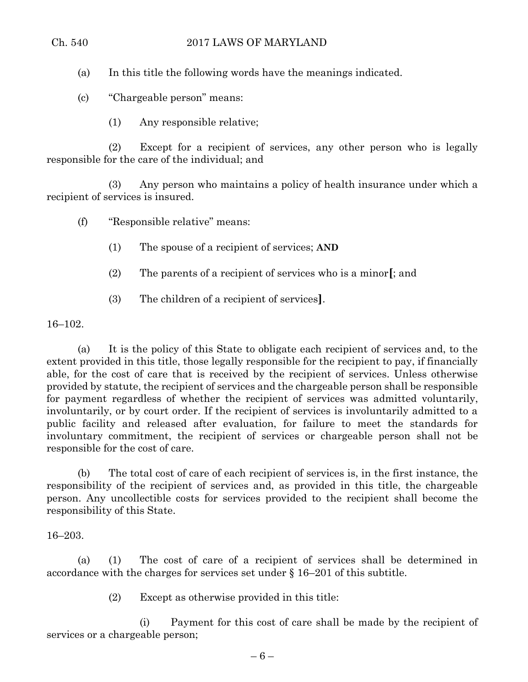(a) In this title the following words have the meanings indicated.

(c) "Chargeable person" means:

(1) Any responsible relative;

(2) Except for a recipient of services, any other person who is legally responsible for the care of the individual; and

(3) Any person who maintains a policy of health insurance under which a recipient of services is insured.

(f) "Responsible relative" means:

- (1) The spouse of a recipient of services; **AND**
- (2) The parents of a recipient of services who is a minor**[**; and
- (3) The children of a recipient of services**]**.

16–102.

(a) It is the policy of this State to obligate each recipient of services and, to the extent provided in this title, those legally responsible for the recipient to pay, if financially able, for the cost of care that is received by the recipient of services. Unless otherwise provided by statute, the recipient of services and the chargeable person shall be responsible for payment regardless of whether the recipient of services was admitted voluntarily, involuntarily, or by court order. If the recipient of services is involuntarily admitted to a public facility and released after evaluation, for failure to meet the standards for involuntary commitment, the recipient of services or chargeable person shall not be responsible for the cost of care.

(b) The total cost of care of each recipient of services is, in the first instance, the responsibility of the recipient of services and, as provided in this title, the chargeable person. Any uncollectible costs for services provided to the recipient shall become the responsibility of this State.

16–203.

(a) (1) The cost of care of a recipient of services shall be determined in accordance with the charges for services set under § 16–201 of this subtitle.

(2) Except as otherwise provided in this title:

(i) Payment for this cost of care shall be made by the recipient of services or a chargeable person;